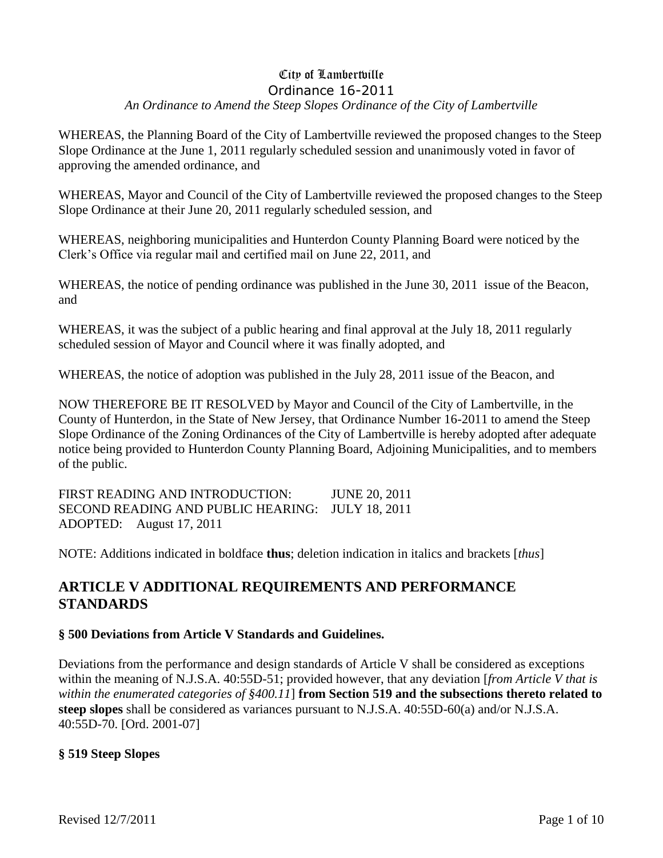### City of Lambertville Ordinance 16-2011 *An Ordinance to Amend the Steep Slopes Ordinance of the City of Lambertville*

WHEREAS, the Planning Board of the City of Lambertville reviewed the proposed changes to the Steep Slope Ordinance at the June 1, 2011 regularly scheduled session and unanimously voted in favor of approving the amended ordinance, and

WHEREAS, Mayor and Council of the City of Lambertville reviewed the proposed changes to the Steep Slope Ordinance at their June 20, 2011 regularly scheduled session, and

WHEREAS, neighboring municipalities and Hunterdon County Planning Board were noticed by the Clerk's Office via regular mail and certified mail on June 22, 2011, and

WHEREAS, the notice of pending ordinance was published in the June 30, 2011 issue of the Beacon, and

WHEREAS, it was the subject of a public hearing and final approval at the July 18, 2011 regularly scheduled session of Mayor and Council where it was finally adopted, and

WHEREAS, the notice of adoption was published in the July 28, 2011 issue of the Beacon, and

NOW THEREFORE BE IT RESOLVED by Mayor and Council of the City of Lambertville, in the County of Hunterdon, in the State of New Jersey, that Ordinance Number 16-2011 to amend the Steep Slope Ordinance of the Zoning Ordinances of the City of Lambertville is hereby adopted after adequate notice being provided to Hunterdon County Planning Board, Adjoining Municipalities, and to members of the public.

FIRST READING AND INTRODUCTION: JUNE 20, 2011 SECOND READING AND PUBLIC HEARING: JULY 18, 2011 ADOPTED: August 17, 2011

NOTE: Additions indicated in boldface **thus**; deletion indication in italics and brackets [*thus*]

# **ARTICLE V ADDITIONAL REQUIREMENTS AND PERFORMANCE STANDARDS**

# **§ 500 Deviations from Article V Standards and Guidelines.**

Deviations from the performance and design standards of Article V shall be considered as exceptions within the meaning of N.J.S.A. 40:55D-51; provided however, that any deviation [*from Article V that is within the enumerated categories of §400.11*] **from Section 519 and the subsections thereto related to steep slopes** shall be considered as variances pursuant to N.J.S.A. 40:55D-60(a) and/or N.J.S.A. 40:55D-70. [Ord. 2001-07]

# **§ 519 Steep Slopes**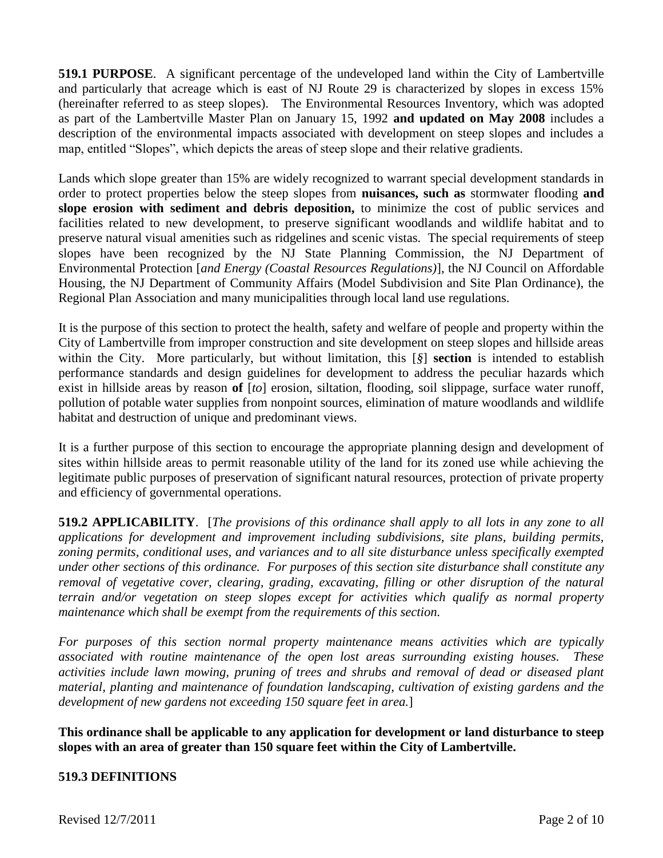**519.1 PURPOSE**. A significant percentage of the undeveloped land within the City of Lambertville and particularly that acreage which is east of NJ Route 29 is characterized by slopes in excess 15% (hereinafter referred to as steep slopes). The Environmental Resources Inventory, which was adopted as part of the Lambertville Master Plan on January 15, 1992 **and updated on May 2008** includes a description of the environmental impacts associated with development on steep slopes and includes a map, entitled "Slopes", which depicts the areas of steep slope and their relative gradients.

Lands which slope greater than 15% are widely recognized to warrant special development standards in order to protect properties below the steep slopes from **nuisances, such as** stormwater flooding **and slope erosion with sediment and debris deposition,** to minimize the cost of public services and facilities related to new development, to preserve significant woodlands and wildlife habitat and to preserve natural visual amenities such as ridgelines and scenic vistas. The special requirements of steep slopes have been recognized by the NJ State Planning Commission, the NJ Department of Environmental Protection [*and Energy (Coastal Resources Regulations)*], the NJ Council on Affordable Housing, the NJ Department of Community Affairs (Model Subdivision and Site Plan Ordinance), the Regional Plan Association and many municipalities through local land use regulations.

It is the purpose of this section to protect the health, safety and welfare of people and property within the City of Lambertville from improper construction and site development on steep slopes and hillside areas within the City. More particularly, but without limitation, this [*§*] **section** is intended to establish performance standards and design guidelines for development to address the peculiar hazards which exist in hillside areas by reason **of** [*to*] erosion, siltation, flooding, soil slippage, surface water runoff, pollution of potable water supplies from nonpoint sources, elimination of mature woodlands and wildlife habitat and destruction of unique and predominant views.

It is a further purpose of this section to encourage the appropriate planning design and development of sites within hillside areas to permit reasonable utility of the land for its zoned use while achieving the legitimate public purposes of preservation of significant natural resources, protection of private property and efficiency of governmental operations.

**519.2 APPLICABILITY**. [*The provisions of this ordinance shall apply to all lots in any zone to all applications for development and improvement including subdivisions, site plans, building permits, zoning permits, conditional uses, and variances and to all site disturbance unless specifically exempted under other sections of this ordinance. For purposes of this section site disturbance shall constitute any removal of vegetative cover, clearing, grading, excavating, filling or other disruption of the natural terrain and/or vegetation on steep slopes except for activities which qualify as normal property maintenance which shall be exempt from the requirements of this section.*

*For purposes of this section normal property maintenance means activities which are typically associated with routine maintenance of the open lost areas surrounding existing houses. These activities include lawn mowing, pruning of trees and shrubs and removal of dead or diseased plant material, planting and maintenance of foundation landscaping, cultivation of existing gardens and the development of new gardens not exceeding 150 square feet in area.*]

**This ordinance shall be applicable to any application for development or land disturbance to steep slopes with an area of greater than 150 square feet within the City of Lambertville.**

### **519.3 DEFINITIONS**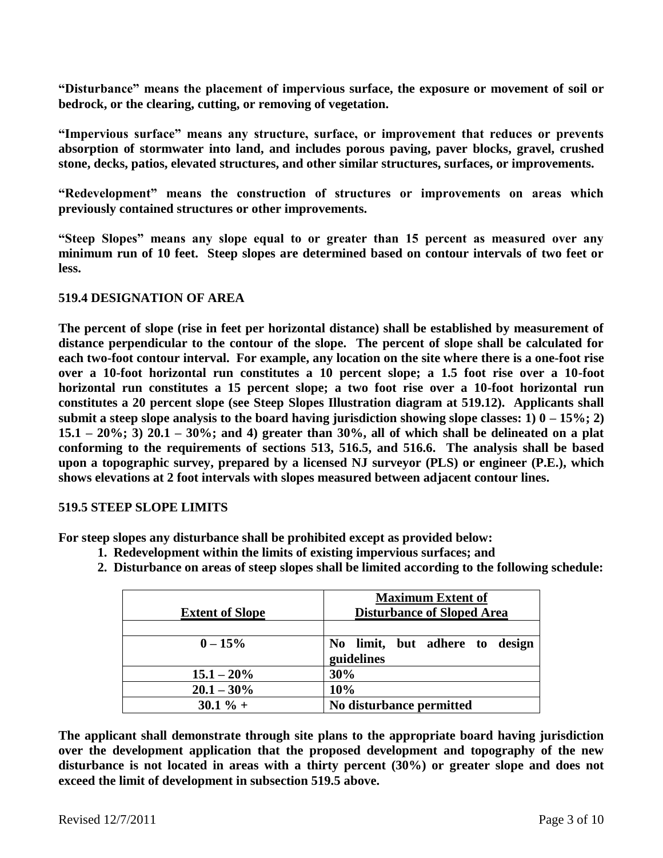**"Disturbance" means the placement of impervious surface, the exposure or movement of soil or bedrock, or the clearing, cutting, or removing of vegetation.**

**"Impervious surface" means any structure, surface, or improvement that reduces or prevents absorption of stormwater into land, and includes porous paving, paver blocks, gravel, crushed stone, decks, patios, elevated structures, and other similar structures, surfaces, or improvements.**

**"Redevelopment" means the construction of structures or improvements on areas which previously contained structures or other improvements.**

**"Steep Slopes" means any slope equal to or greater than 15 percent as measured over any minimum run of 10 feet. Steep slopes are determined based on contour intervals of two feet or less.**

### **519.4 DESIGNATION OF AREA**

**The percent of slope (rise in feet per horizontal distance) shall be established by measurement of distance perpendicular to the contour of the slope. The percent of slope shall be calculated for each two-foot contour interval. For example, any location on the site where there is a one-foot rise over a 10-foot horizontal run constitutes a 10 percent slope; a 1.5 foot rise over a 10-foot horizontal run constitutes a 15 percent slope; a two foot rise over a 10-foot horizontal run constitutes a 20 percent slope (see Steep Slopes Illustration diagram at 519.12). Applicants shall**  submit a steep slope analysis to the board having jurisdiction showing slope classes:  $1)$   $0 - 15\%$ ;  $2)$ **15.1 – 20%; 3) 20.1 – 30%; and 4) greater than 30%, all of which shall be delineated on a plat conforming to the requirements of sections 513, 516.5, and 516.6. The analysis shall be based upon a topographic survey, prepared by a licensed NJ surveyor (PLS) or engineer (P.E.), which shows elevations at 2 foot intervals with slopes measured between adjacent contour lines.**

#### **519.5 STEEP SLOPE LIMITS**

**For steep slopes any disturbance shall be prohibited except as provided below:**

- **1. Redevelopment within the limits of existing impervious surfaces; and**
- **2. Disturbance on areas of steep slopes shall be limited according to the following schedule:**

| <b>Extent of Slope</b> | <b>Maximum Extent of</b><br><b>Disturbance of Sloped Area</b> |
|------------------------|---------------------------------------------------------------|
|                        |                                                               |
| $0 - 15\%$             | No limit, but adhere to design<br>guidelines                  |
| $15.1 - 20\%$          | 30%                                                           |
| $20.1 - 30\%$          | 10%                                                           |
| $30.1 \% +$            | No disturbance permitted                                      |

**The applicant shall demonstrate through site plans to the appropriate board having jurisdiction over the development application that the proposed development and topography of the new disturbance is not located in areas with a thirty percent (30%) or greater slope and does not exceed the limit of development in subsection 519.5 above.**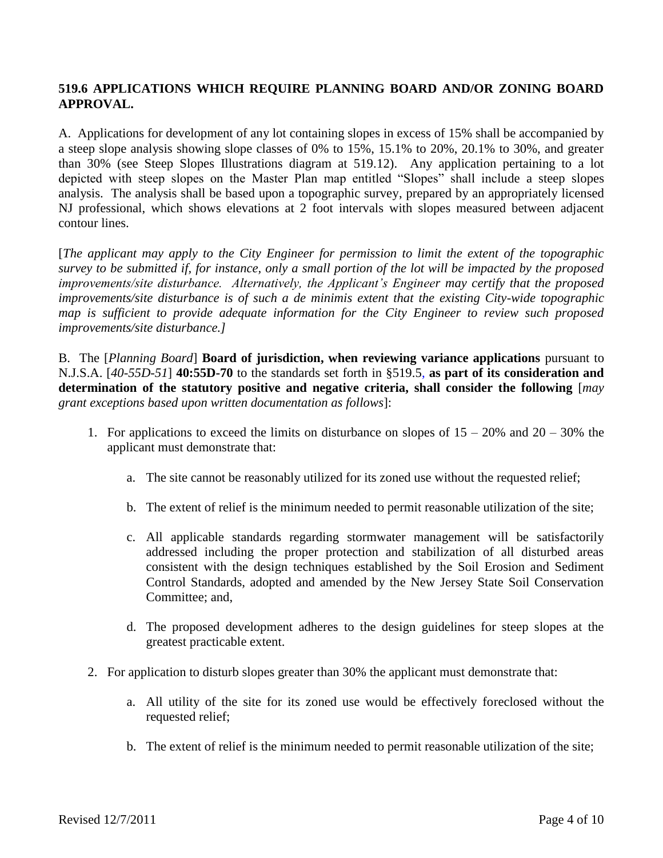# **519.6 APPLICATIONS WHICH REQUIRE PLANNING BOARD AND/OR ZONING BOARD APPROVAL.**

A. Applications for development of any lot containing slopes in excess of 15% shall be accompanied by a steep slope analysis showing slope classes of 0% to 15%, 15.1% to 20%, 20.1% to 30%, and greater than 30% (see Steep Slopes Illustrations diagram at 519.12). Any application pertaining to a lot depicted with steep slopes on the Master Plan map entitled "Slopes" shall include a steep slopes analysis. The analysis shall be based upon a topographic survey, prepared by an appropriately licensed NJ professional, which shows elevations at 2 foot intervals with slopes measured between adjacent contour lines.

[*The applicant may apply to the City Engineer for permission to limit the extent of the topographic survey to be submitted if, for instance, only a small portion of the lot will be impacted by the proposed improvements/site disturbance. Alternatively, the Applicant's Engineer may certify that the proposed improvements/site disturbance is of such a de minimis extent that the existing City-wide topographic map is sufficient to provide adequate information for the City Engineer to review such proposed improvements/site disturbance.]*

B. The [*Planning Board*] **Board of jurisdiction, when reviewing variance applications** pursuant to N.J.S.A. [*40-55D-51*] **40:55D-70** to the standards set forth in §519.5, **as part of its consideration and determination of the statutory positive and negative criteria, shall consider the following** [*may grant exceptions based upon written documentation as follows*]:

- 1. For applications to exceed the limits on disturbance on slopes of 15 20% and 20 30% the applicant must demonstrate that:
	- a. The site cannot be reasonably utilized for its zoned use without the requested relief;
	- b. The extent of relief is the minimum needed to permit reasonable utilization of the site;
	- c. All applicable standards regarding stormwater management will be satisfactorily addressed including the proper protection and stabilization of all disturbed areas consistent with the design techniques established by the Soil Erosion and Sediment Control Standards, adopted and amended by the New Jersey State Soil Conservation Committee; and,
	- d. The proposed development adheres to the design guidelines for steep slopes at the greatest practicable extent.
- 2. For application to disturb slopes greater than 30% the applicant must demonstrate that:
	- a. All utility of the site for its zoned use would be effectively foreclosed without the requested relief;
	- b. The extent of relief is the minimum needed to permit reasonable utilization of the site;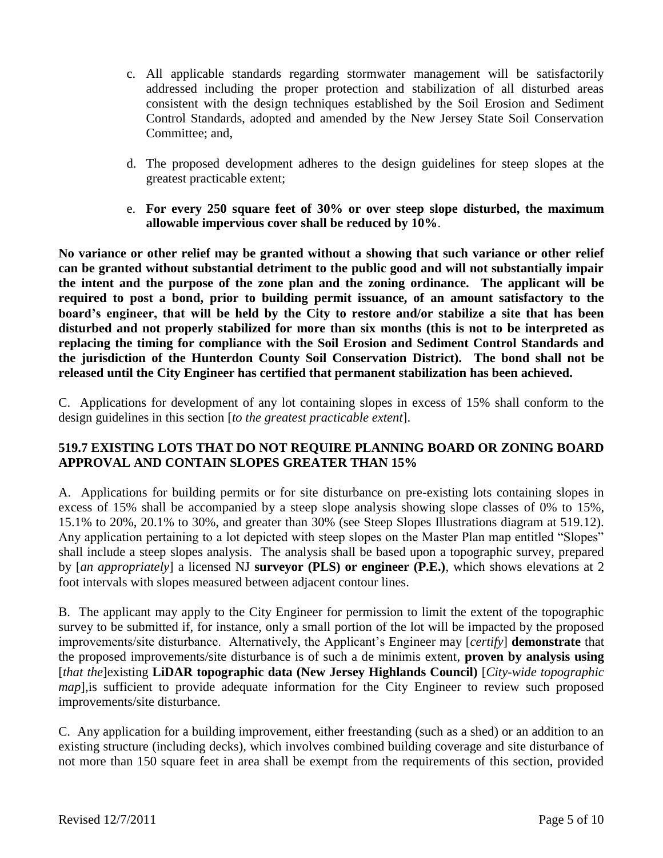- c. All applicable standards regarding stormwater management will be satisfactorily addressed including the proper protection and stabilization of all disturbed areas consistent with the design techniques established by the Soil Erosion and Sediment Control Standards, adopted and amended by the New Jersey State Soil Conservation Committee; and,
- d. The proposed development adheres to the design guidelines for steep slopes at the greatest practicable extent;
- e. **For every 250 square feet of 30% or over steep slope disturbed, the maximum allowable impervious cover shall be reduced by 10%**.

**No variance or other relief may be granted without a showing that such variance or other relief can be granted without substantial detriment to the public good and will not substantially impair the intent and the purpose of the zone plan and the zoning ordinance. The applicant will be required to post a bond, prior to building permit issuance, of an amount satisfactory to the board's engineer, that will be held by the City to restore and/or stabilize a site that has been disturbed and not properly stabilized for more than six months (this is not to be interpreted as replacing the timing for compliance with the Soil Erosion and Sediment Control Standards and the jurisdiction of the Hunterdon County Soil Conservation District). The bond shall not be released until the City Engineer has certified that permanent stabilization has been achieved.**

C. Applications for development of any lot containing slopes in excess of 15% shall conform to the design guidelines in this section [*to the greatest practicable extent*].

# **519.7 EXISTING LOTS THAT DO NOT REQUIRE PLANNING BOARD OR ZONING BOARD APPROVAL AND CONTAIN SLOPES GREATER THAN 15%**

A. Applications for building permits or for site disturbance on pre-existing lots containing slopes in excess of 15% shall be accompanied by a steep slope analysis showing slope classes of 0% to 15%, 15.1% to 20%, 20.1% to 30%, and greater than 30% (see Steep Slopes Illustrations diagram at 519.12). Any application pertaining to a lot depicted with steep slopes on the Master Plan map entitled "Slopes" shall include a steep slopes analysis. The analysis shall be based upon a topographic survey, prepared by [*an appropriately*] a licensed NJ **surveyor (PLS) or engineer (P.E.)**, which shows elevations at 2 foot intervals with slopes measured between adjacent contour lines.

B. The applicant may apply to the City Engineer for permission to limit the extent of the topographic survey to be submitted if, for instance, only a small portion of the lot will be impacted by the proposed improvements/site disturbance. Alternatively, the Applicant's Engineer may [*certify*] **demonstrate** that the proposed improvements/site disturbance is of such a de minimis extent, **proven by analysis using** [*that the*]existing **LiDAR topographic data (New Jersey Highlands Council)** [*City-wide topographic map*], is sufficient to provide adequate information for the City Engineer to review such proposed improvements/site disturbance.

C. Any application for a building improvement, either freestanding (such as a shed) or an addition to an existing structure (including decks), which involves combined building coverage and site disturbance of not more than 150 square feet in area shall be exempt from the requirements of this section, provided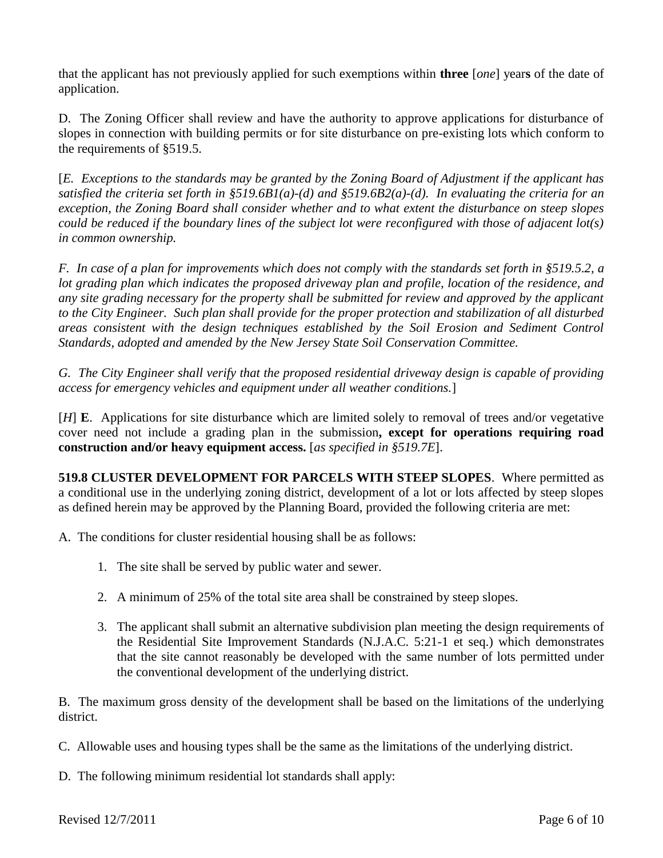that the applicant has not previously applied for such exemptions within **three** [*one*] year**s** of the date of application.

D. The Zoning Officer shall review and have the authority to approve applications for disturbance of slopes in connection with building permits or for site disturbance on pre-existing lots which conform to the requirements of §519.5.

[*E. Exceptions to the standards may be granted by the Zoning Board of Adjustment if the applicant has satisfied the criteria set forth in §519.6B1(a)-(d) and §519.6B2(a)-(d). In evaluating the criteria for an exception, the Zoning Board shall consider whether and to what extent the disturbance on steep slopes could be reduced if the boundary lines of the subject lot were reconfigured with those of adjacent lot(s) in common ownership.*

*F. In case of a plan for improvements which does not comply with the standards set forth in §519.5.2, a lot grading plan which indicates the proposed driveway plan and profile, location of the residence, and any site grading necessary for the property shall be submitted for review and approved by the applicant to the City Engineer. Such plan shall provide for the proper protection and stabilization of all disturbed areas consistent with the design techniques established by the Soil Erosion and Sediment Control Standards, adopted and amended by the New Jersey State Soil Conservation Committee.*

*G. The City Engineer shall verify that the proposed residential driveway design is capable of providing access for emergency vehicles and equipment under all weather conditions.*]

[*H*] **E**. Applications for site disturbance which are limited solely to removal of trees and/or vegetative cover need not include a grading plan in the submission**, except for operations requiring road construction and/or heavy equipment access.** [*as specified in §519.7E*].

**519.8 CLUSTER DEVELOPMENT FOR PARCELS WITH STEEP SLOPES**. Where permitted as a conditional use in the underlying zoning district, development of a lot or lots affected by steep slopes as defined herein may be approved by the Planning Board, provided the following criteria are met:

A. The conditions for cluster residential housing shall be as follows:

- 1. The site shall be served by public water and sewer.
- 2. A minimum of 25% of the total site area shall be constrained by steep slopes.
- 3. The applicant shall submit an alternative subdivision plan meeting the design requirements of the Residential Site Improvement Standards (N.J.A.C. 5:21-1 et seq.) which demonstrates that the site cannot reasonably be developed with the same number of lots permitted under the conventional development of the underlying district.

B. The maximum gross density of the development shall be based on the limitations of the underlying district.

C. Allowable uses and housing types shall be the same as the limitations of the underlying district.

D. The following minimum residential lot standards shall apply: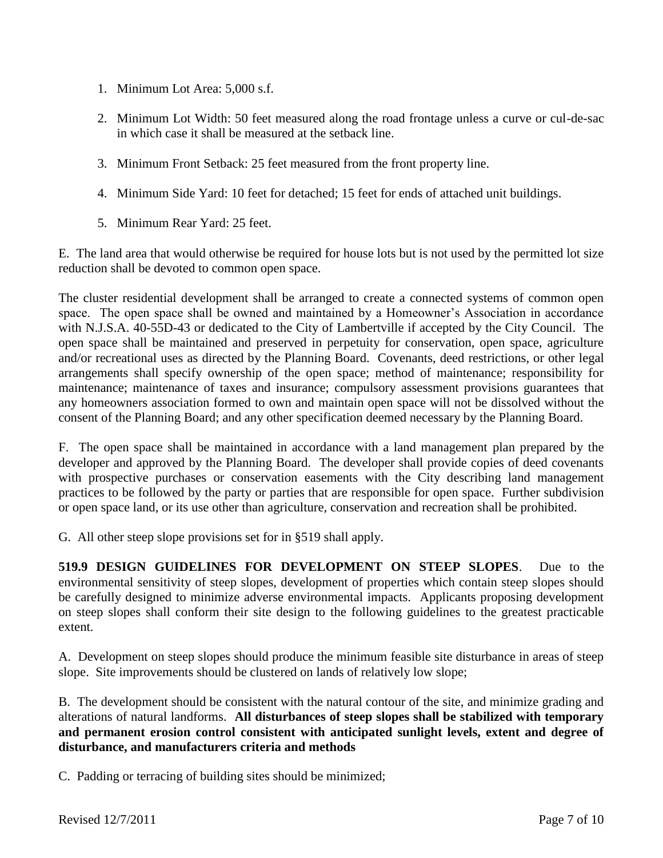- 1. Minimum Lot Area: 5,000 s.f.
- 2. Minimum Lot Width: 50 feet measured along the road frontage unless a curve or cul-de-sac in which case it shall be measured at the setback line.
- 3. Minimum Front Setback: 25 feet measured from the front property line.
- 4. Minimum Side Yard: 10 feet for detached; 15 feet for ends of attached unit buildings.
- 5. Minimum Rear Yard: 25 feet.

E. The land area that would otherwise be required for house lots but is not used by the permitted lot size reduction shall be devoted to common open space.

The cluster residential development shall be arranged to create a connected systems of common open space. The open space shall be owned and maintained by a Homeowner's Association in accordance with N.J.S.A. 40-55D-43 or dedicated to the City of Lambertville if accepted by the City Council. The open space shall be maintained and preserved in perpetuity for conservation, open space, agriculture and/or recreational uses as directed by the Planning Board. Covenants, deed restrictions, or other legal arrangements shall specify ownership of the open space; method of maintenance; responsibility for maintenance; maintenance of taxes and insurance; compulsory assessment provisions guarantees that any homeowners association formed to own and maintain open space will not be dissolved without the consent of the Planning Board; and any other specification deemed necessary by the Planning Board.

F. The open space shall be maintained in accordance with a land management plan prepared by the developer and approved by the Planning Board. The developer shall provide copies of deed covenants with prospective purchases or conservation easements with the City describing land management practices to be followed by the party or parties that are responsible for open space. Further subdivision or open space land, or its use other than agriculture, conservation and recreation shall be prohibited.

G. All other steep slope provisions set for in §519 shall apply.

**519.9 DESIGN GUIDELINES FOR DEVELOPMENT ON STEEP SLOPES**. Due to the environmental sensitivity of steep slopes, development of properties which contain steep slopes should be carefully designed to minimize adverse environmental impacts. Applicants proposing development on steep slopes shall conform their site design to the following guidelines to the greatest practicable extent.

A. Development on steep slopes should produce the minimum feasible site disturbance in areas of steep slope. Site improvements should be clustered on lands of relatively low slope;

B. The development should be consistent with the natural contour of the site, and minimize grading and alterations of natural landforms. **All disturbances of steep slopes shall be stabilized with temporary and permanent erosion control consistent with anticipated sunlight levels, extent and degree of disturbance, and manufacturers criteria and methods**

C. Padding or terracing of building sites should be minimized;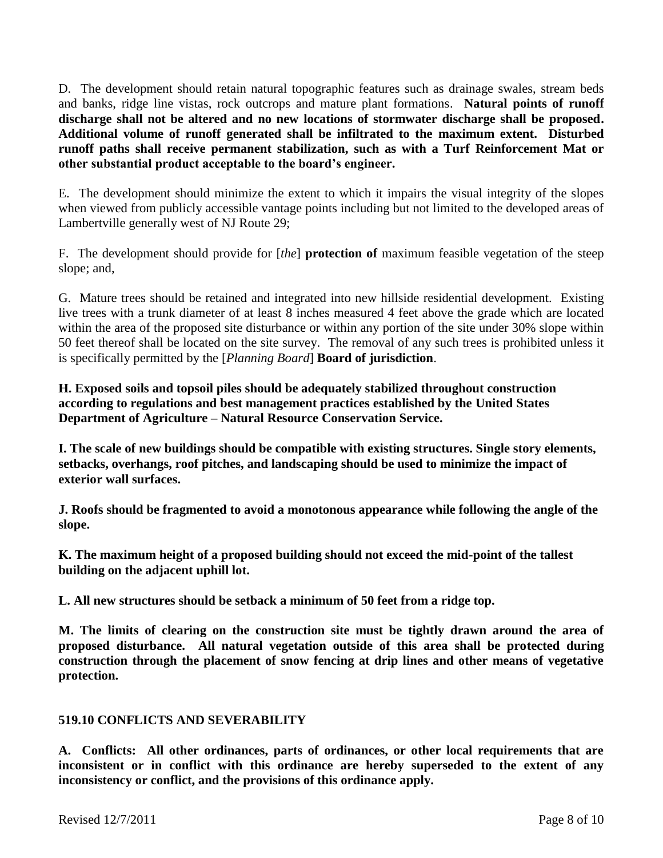D. The development should retain natural topographic features such as drainage swales, stream beds and banks, ridge line vistas, rock outcrops and mature plant formations. **Natural points of runoff discharge shall not be altered and no new locations of stormwater discharge shall be proposed. Additional volume of runoff generated shall be infiltrated to the maximum extent. Disturbed runoff paths shall receive permanent stabilization, such as with a Turf Reinforcement Mat or other substantial product acceptable to the board's engineer.**

E. The development should minimize the extent to which it impairs the visual integrity of the slopes when viewed from publicly accessible vantage points including but not limited to the developed areas of Lambertville generally west of NJ Route 29;

F. The development should provide for [*the*] **protection of** maximum feasible vegetation of the steep slope; and,

G. Mature trees should be retained and integrated into new hillside residential development. Existing live trees with a trunk diameter of at least 8 inches measured 4 feet above the grade which are located within the area of the proposed site disturbance or within any portion of the site under 30% slope within 50 feet thereof shall be located on the site survey. The removal of any such trees is prohibited unless it is specifically permitted by the [*Planning Board*] **Board of jurisdiction**.

**H. Exposed soils and topsoil piles should be adequately stabilized throughout construction according to regulations and best management practices established by the United States Department of Agriculture – Natural Resource Conservation Service.**

**I. The scale of new buildings should be compatible with existing structures. Single story elements, setbacks, overhangs, roof pitches, and landscaping should be used to minimize the impact of exterior wall surfaces.**

**J. Roofs should be fragmented to avoid a monotonous appearance while following the angle of the slope.**

**K. The maximum height of a proposed building should not exceed the mid-point of the tallest building on the adjacent uphill lot.**

**L. All new structures should be setback a minimum of 50 feet from a ridge top.**

**M. The limits of clearing on the construction site must be tightly drawn around the area of proposed disturbance. All natural vegetation outside of this area shall be protected during construction through the placement of snow fencing at drip lines and other means of vegetative protection.**

# **519.10 CONFLICTS AND SEVERABILITY**

**A. Conflicts: All other ordinances, parts of ordinances, or other local requirements that are inconsistent or in conflict with this ordinance are hereby superseded to the extent of any inconsistency or conflict, and the provisions of this ordinance apply.**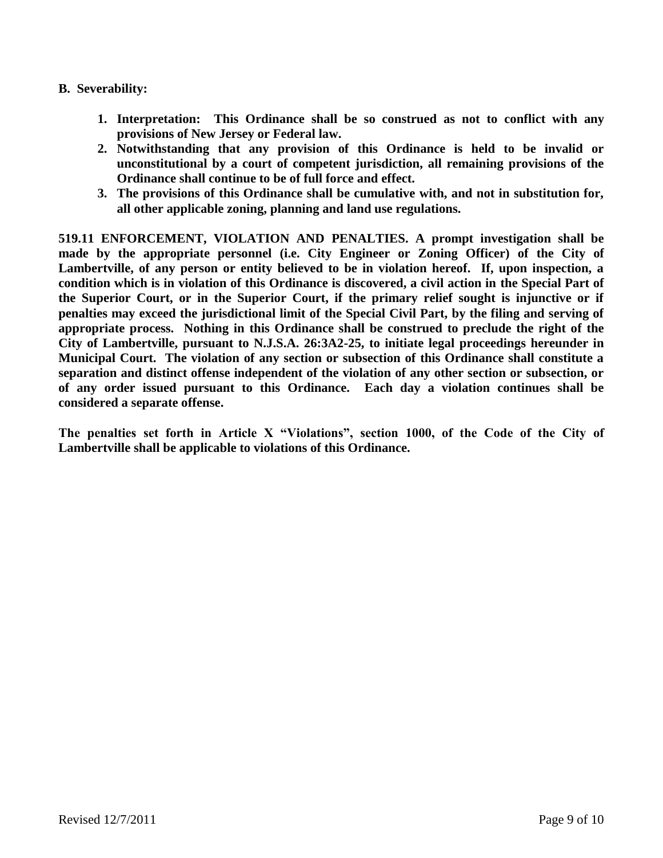### **B. Severability:**

- **1. Interpretation: This Ordinance shall be so construed as not to conflict with any provisions of New Jersey or Federal law.**
- **2. Notwithstanding that any provision of this Ordinance is held to be invalid or unconstitutional by a court of competent jurisdiction, all remaining provisions of the Ordinance shall continue to be of full force and effect.**
- **3. The provisions of this Ordinance shall be cumulative with, and not in substitution for, all other applicable zoning, planning and land use regulations.**

**519.11 ENFORCEMENT, VIOLATION AND PENALTIES. A prompt investigation shall be made by the appropriate personnel (i.e. City Engineer or Zoning Officer) of the City of Lambertville, of any person or entity believed to be in violation hereof. If, upon inspection, a condition which is in violation of this Ordinance is discovered, a civil action in the Special Part of the Superior Court, or in the Superior Court, if the primary relief sought is injunctive or if penalties may exceed the jurisdictional limit of the Special Civil Part, by the filing and serving of appropriate process. Nothing in this Ordinance shall be construed to preclude the right of the City of Lambertville, pursuant to N.J.S.A. 26:3A2-25, to initiate legal proceedings hereunder in Municipal Court. The violation of any section or subsection of this Ordinance shall constitute a separation and distinct offense independent of the violation of any other section or subsection, or of any order issued pursuant to this Ordinance. Each day a violation continues shall be considered a separate offense.**

**The penalties set forth in Article X "Violations", section 1000, of the Code of the City of Lambertville shall be applicable to violations of this Ordinance.**